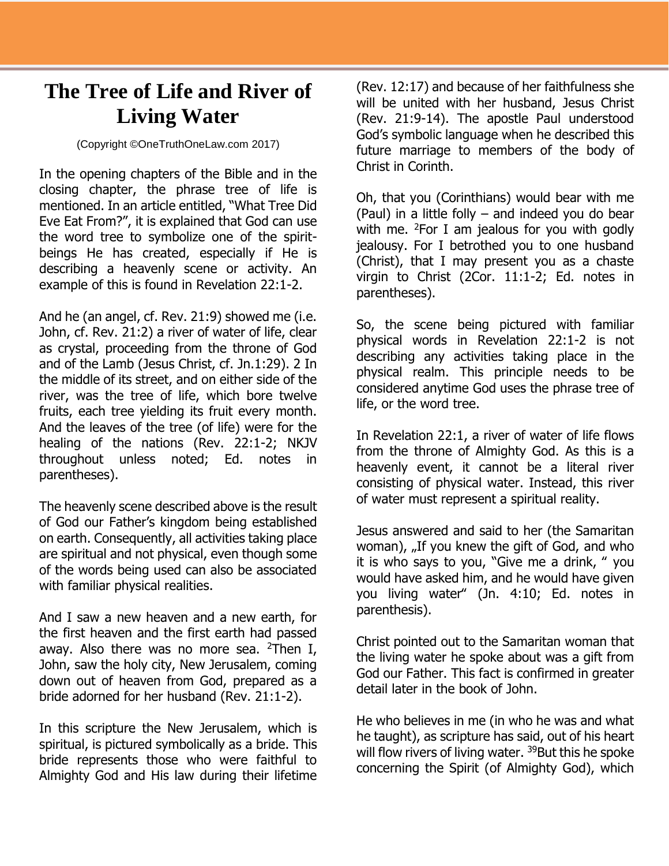## **The Tree of Life and River of Living Water**

## (Copyright ©OneTruthOneLaw.com 2017)

In the opening chapters of the Bible and in the closing chapter, the phrase tree of life is mentioned. In an article entitled, "What Tree Did Eve Eat From?", it is explained that God can use the word tree to symbolize one of the spiritbeings He has created, especially if He is describing a heavenly scene or activity. An example of this is found in Revelation 22:1-2.

And he (an angel, cf. Rev. 21:9) showed me (i.e. John, cf. Rev. 21:2) a river of water of life, clear as crystal, proceeding from the throne of God and of the Lamb (Jesus Christ, cf. Jn.1:29). 2 In the middle of its street, and on either side of the river, was the tree of life, which bore twelve fruits, each tree yielding its fruit every month. And the leaves of the tree (of life) were for the healing of the nations (Rev. 22:1-2; NKJV throughout unless noted; Ed. notes in parentheses).

The heavenly scene described above is the result of God our Father's kingdom being established on earth. Consequently, all activities taking place are spiritual and not physical, even though some of the words being used can also be associated with familiar physical realities.

And I saw a new heaven and a new earth, for the first heaven and the first earth had passed away. Also there was no more sea.  $2$ Then I, John, saw the holy city, New Jerusalem, coming down out of heaven from God, prepared as a bride adorned for her husband (Rev. 21:1-2).

In this scripture the New Jerusalem, which is spiritual, is pictured symbolically as a bride. This bride represents those who were faithful to Almighty God and His law during their lifetime

(Rev. 12:17) and because of her faithfulness she will be united with her husband, Jesus Christ (Rev. 21:9-14). The apostle Paul understood God's symbolic language when he described this future marriage to members of the body of Christ in Corinth.

Oh, that you (Corinthians) would bear with me (Paul) in a little folly – and indeed you do bear with me.  $^{2}$ For I am jealous for you with godly jealousy. For I betrothed you to one husband (Christ), that I may present you as a chaste virgin to Christ (2Cor. 11:1-2; Ed. notes in parentheses).

So, the scene being pictured with familiar physical words in Revelation 22:1-2 is not describing any activities taking place in the physical realm. This principle needs to be considered anytime God uses the phrase tree of life, or the word tree.

In Revelation 22:1, a river of water of life flows from the throne of Almighty God. As this is a heavenly event, it cannot be a literal river consisting of physical water. Instead, this river of water must represent a spiritual reality.

Jesus answered and said to her (the Samaritan woman),  $_{\nu}$  If you knew the gift of God, and who it is who says to you, "Give me a drink, " you would have asked him, and he would have given you living water" (Jn. 4:10; Ed. notes in parenthesis).

Christ pointed out to the Samaritan woman that the living water he spoke about was a gift from God our Father. This fact is confirmed in greater detail later in the book of John.

He who believes in me (in who he was and what he taught), as scripture has said, out of his heart will flow rivers of living water. <sup>39</sup>But this he spoke concerning the Spirit (of Almighty God), which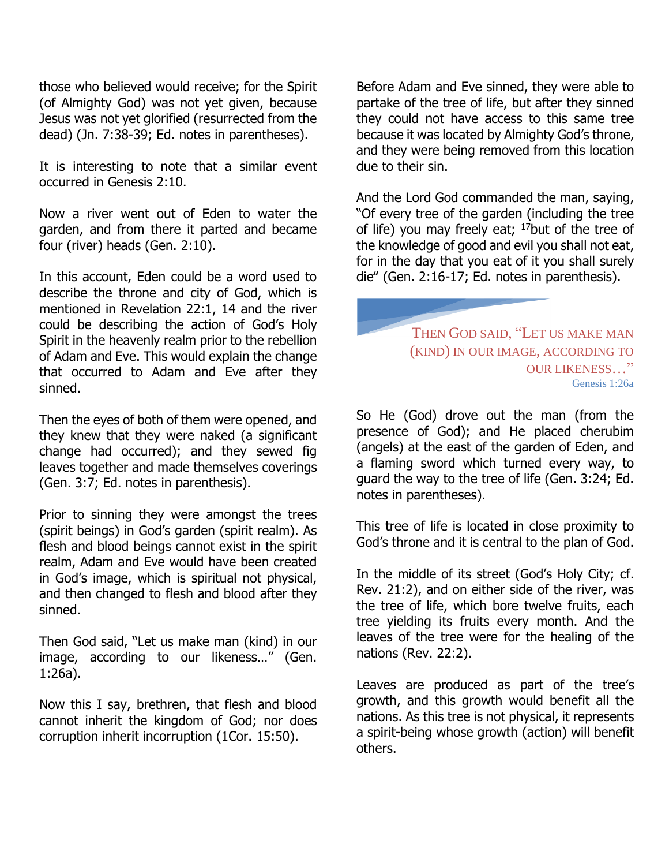those who believed would receive; for the Spirit (of Almighty God) was not yet given, because Jesus was not yet glorified (resurrected from the dead) (Jn. 7:38-39; Ed. notes in parentheses).

It is interesting to note that a similar event occurred in Genesis 2:10.

Now a river went out of Eden to water the garden, and from there it parted and became four (river) heads (Gen. 2:10).

In this account, Eden could be a word used to describe the throne and city of God, which is mentioned in Revelation 22:1, 14 and the river could be describing the action of God's Holy Spirit in the heavenly realm prior to the rebellion of Adam and Eve. This would explain the change that occurred to Adam and Eve after they sinned.

Then the eyes of both of them were opened, and they knew that they were naked (a significant change had occurred); and they sewed fig leaves together and made themselves coverings (Gen. 3:7; Ed. notes in parenthesis).

Prior to sinning they were amongst the trees (spirit beings) in God's garden (spirit realm). As flesh and blood beings cannot exist in the spirit realm, Adam and Eve would have been created in God's image, which is spiritual not physical, and then changed to flesh and blood after they sinned.

Then God said, "Let us make man (kind) in our image, according to our likeness…" (Gen. 1:26a).

Now this I say, brethren, that flesh and blood cannot inherit the kingdom of God; nor does corruption inherit incorruption (1Cor. 15:50).

Before Adam and Eve sinned, they were able to partake of the tree of life, but after they sinned they could not have access to this same tree because it was located by Almighty God's throne, and they were being removed from this location due to their sin.

And the Lord God commanded the man, saying, "Of every tree of the garden (including the tree of life) you may freely eat;  $17$ but of the tree of the knowledge of good and evil you shall not eat, for in the day that you eat of it you shall surely die" (Gen. 2:16-17; Ed. notes in parenthesis).

> THEN GOD SAID, "LET US MAKE MAN (KIND) IN OUR IMAGE, ACCORDING TO OUR LIKENESS…" Genesis 1:26a

So He (God) drove out the man (from the presence of God); and He placed cherubim (angels) at the east of the garden of Eden, and a flaming sword which turned every way, to guard the way to the tree of life (Gen. 3:24; Ed. notes in parentheses).

This tree of life is located in close proximity to God's throne and it is central to the plan of God.

In the middle of its street (God's Holy City; cf. Rev. 21:2), and on either side of the river, was the tree of life, which bore twelve fruits, each tree yielding its fruits every month. And the leaves of the tree were for the healing of the nations (Rev. 22:2).

Leaves are produced as part of the tree's growth, and this growth would benefit all the nations. As this tree is not physical, it represents a spirit-being whose growth (action) will benefit others.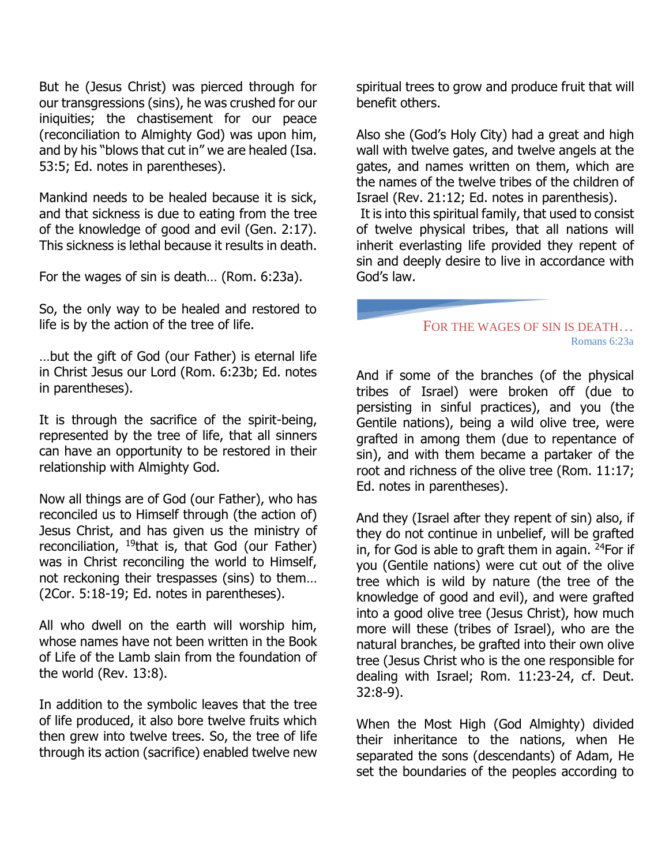But he (Jesus Christ) was pierced through for our transgressions (sins), he was crushed for our iniquities; the chastisement for our peace (reconciliation to Almighty God) was upon him, and by his "blows that cut in" we are healed (Isa. 53:5; Ed. notes in parentheses).

Mankind needs to be healed because it is sick, and that sickness is due to eating from the tree of the knowledge of good and evil (Gen. 2:17). This sickness is lethal because it results in death.

For the wages of sin is death… (Rom. 6:23a).

So, the only way to be healed and restored to life is by the action of the tree of life.

…but the gift of God (our Father) is eternal life in Christ Jesus our Lord (Rom. 6:23b; Ed. notes in parentheses).

It is through the sacrifice of the spirit-being, represented by the tree of life, that all sinners can have an opportunity to be restored in their relationship with Almighty God.

Now all things are of God (our Father), who has reconciled us to Himself through (the action of) Jesus Christ, and has given us the ministry of reconciliation,  $19$ that is, that God (our Father) was in Christ reconciling the world to Himself, not reckoning their trespasses (sins) to them… (2Cor. 5:18-19; Ed. notes in parentheses).

All who dwell on the earth will worship him, whose names have not been written in the Book of Life of the Lamb slain from the foundation of the world (Rev. 13:8).

In addition to the symbolic leaves that the tree of life produced, it also bore twelve fruits which then grew into twelve trees. So, the tree of life through its action (sacrifice) enabled twelve new

spiritual trees to grow and produce fruit that will benefit others.

Also she (God's Holy City) had a great and high wall with twelve gates, and twelve angels at the gates, and names written on them, which are the names of the twelve tribes of the children of Israel (Rev. 21:12; Ed. notes in parenthesis).

It is into this spiritual family, that used to consist of twelve physical tribes, that all nations will inherit everlasting life provided they repent of sin and deeply desire to live in accordance with God's law.

## FOR THE WAGES OF SIN IS DEATH… Romans 6:23a

And if some of the branches (of the physical tribes of Israel) were broken off (due to persisting in sinful practices), and you (the Gentile nations), being a wild olive tree, were grafted in among them (due to repentance of sin), and with them became a partaker of the root and richness of the olive tree (Rom. 11:17; Ed. notes in parentheses).

And they (Israel after they repent of sin) also, if they do not continue in unbelief, will be grafted in, for God is able to graft them in again.  $24$ For if you (Gentile nations) were cut out of the olive tree which is wild by nature (the tree of the knowledge of good and evil), and were grafted into a good olive tree (Jesus Christ), how much more will these (tribes of Israel), who are the natural branches, be grafted into their own olive tree (Jesus Christ who is the one responsible for dealing with Israel; Rom. 11:23-24, cf. Deut. 32:8-9).

When the Most High (God Almighty) divided their inheritance to the nations, when He separated the sons (descendants) of Adam, He set the boundaries of the peoples according to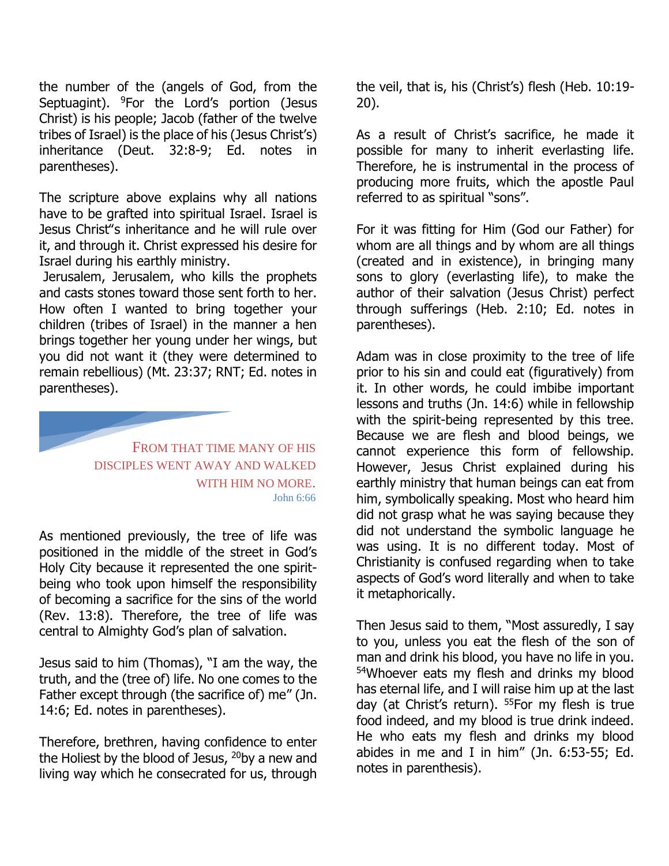the number of the (angels of God, from the Septuagint).  $9$ For the Lord's portion (Jesus Christ) is his people; Jacob (father of the twelve tribes of Israel) is the place of his (Jesus Christ's) inheritance (Deut. 32:8-9; Ed. notes in parentheses).

The scripture above explains why all nations have to be grafted into spiritual Israel. Israel is Jesus Christ"s inheritance and he will rule over it, and through it. Christ expressed his desire for Israel during his earthly ministry.

Jerusalem, Jerusalem, who kills the prophets and casts stones toward those sent forth to her. How often I wanted to bring together your children (tribes of Israel) in the manner a hen brings together her young under her wings, but you did not want it (they were determined to remain rebellious) (Mt. 23:37; RNT; Ed. notes in parentheses).



As mentioned previously, the tree of life was positioned in the middle of the street in God's Holy City because it represented the one spiritbeing who took upon himself the responsibility of becoming a sacrifice for the sins of the world (Rev. 13:8). Therefore, the tree of life was central to Almighty God's plan of salvation.

Jesus said to him (Thomas), "I am the way, the truth, and the (tree of) life. No one comes to the Father except through (the sacrifice of) me" (Jn. 14:6; Ed. notes in parentheses).

Therefore, brethren, having confidence to enter the Holiest by the blood of Jesus,  $20$ by a new and living way which he consecrated for us, through the veil, that is, his (Christ's) flesh (Heb. 10:19- 20).

As a result of Christ's sacrifice, he made it possible for many to inherit everlasting life. Therefore, he is instrumental in the process of producing more fruits, which the apostle Paul referred to as spiritual "sons".

For it was fitting for Him (God our Father) for whom are all things and by whom are all things (created and in existence), in bringing many sons to glory (everlasting life), to make the author of their salvation (Jesus Christ) perfect through sufferings (Heb. 2:10; Ed. notes in parentheses).

Adam was in close proximity to the tree of life prior to his sin and could eat (figuratively) from it. In other words, he could imbibe important lessons and truths (Jn. 14:6) while in fellowship with the spirit-being represented by this tree. Because we are flesh and blood beings, we cannot experience this form of fellowship. However, Jesus Christ explained during his earthly ministry that human beings can eat from him, symbolically speaking. Most who heard him did not grasp what he was saying because they did not understand the symbolic language he was using. It is no different today. Most of Christianity is confused regarding when to take aspects of God's word literally and when to take it metaphorically.

Then Jesus said to them, "Most assuredly, I say to you, unless you eat the flesh of the son of man and drink his blood, you have no life in you. <sup>54</sup>Whoever eats my flesh and drinks my blood has eternal life, and I will raise him up at the last day (at Christ's return). <sup>55</sup>For my flesh is true food indeed, and my blood is true drink indeed. He who eats my flesh and drinks my blood abides in me and I in him" (Jn. 6:53-55; Ed. notes in parenthesis).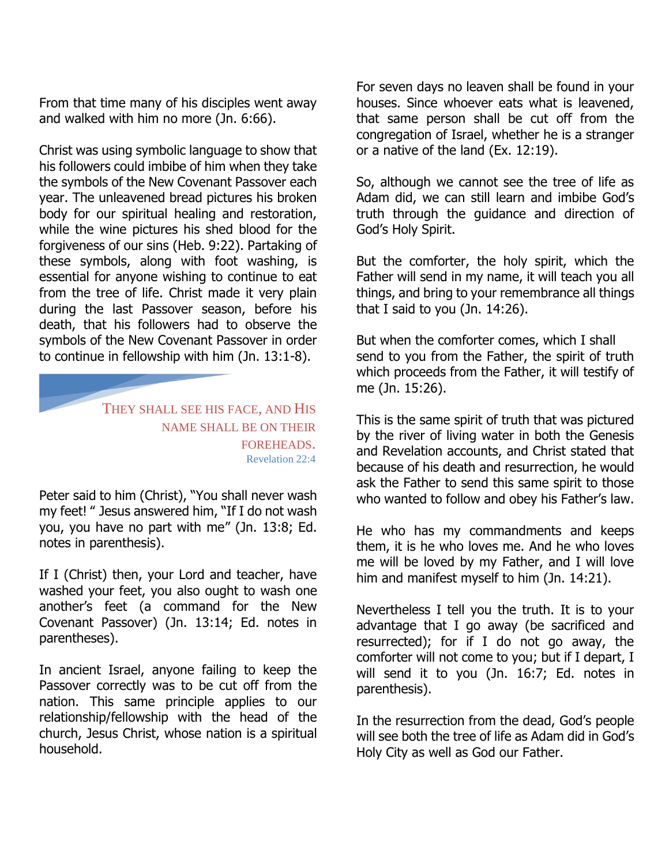From that time many of his disciples went away and walked with him no more (Jn. 6:66).

Christ was using symbolic language to show that his followers could imbibe of him when they take the symbols of the New Covenant Passover each year. The unleavened bread pictures his broken body for our spiritual healing and restoration, while the wine pictures his shed blood for the forgiveness of our sins (Heb. 9:22). Partaking of these symbols, along with foot washing, is essential for anyone wishing to continue to eat from the tree of life. Christ made it very plain during the last Passover season, before his death, that his followers had to observe the symbols of the New Covenant Passover in order to continue in fellowship with him (Jn. 13:1-8).

> THEY SHALL SEE HIS FACE, AND HIS NAME SHALL BE ON THEIR FOREHEADS. Revelation 22:4

Peter said to him (Christ), "You shall never wash my feet! " Jesus answered him, "If I do not wash you, you have no part with me" (Jn. 13:8; Ed. notes in parenthesis).

If I (Christ) then, your Lord and teacher, have washed your feet, you also ought to wash one another's feet (a command for the New Covenant Passover) (Jn. 13:14; Ed. notes in parentheses).

In ancient Israel, anyone failing to keep the Passover correctly was to be cut off from the nation. This same principle applies to our relationship/fellowship with the head of the church, Jesus Christ, whose nation is a spiritual household.

For seven days no leaven shall be found in your houses. Since whoever eats what is leavened, that same person shall be cut off from the congregation of Israel, whether he is a stranger or a native of the land (Ex. 12:19).

So, although we cannot see the tree of life as Adam did, we can still learn and imbibe God's truth through the guidance and direction of God's Holy Spirit.

But the comforter, the holy spirit, which the Father will send in my name, it will teach you all things, and bring to your remembrance all things that I said to you (Jn. 14:26).

But when the comforter comes, which I shall send to you from the Father, the spirit of truth which proceeds from the Father, it will testify of me (Jn. 15:26).

This is the same spirit of truth that was pictured by the river of living water in both the Genesis and Revelation accounts, and Christ stated that because of his death and resurrection, he would ask the Father to send this same spirit to those who wanted to follow and obey his Father's law.

He who has my commandments and keeps them, it is he who loves me. And he who loves me will be loved by my Father, and I will love him and manifest myself to him (Jn. 14:21).

Nevertheless I tell you the truth. It is to your advantage that I go away (be sacrificed and resurrected); for if I do not go away, the comforter will not come to you; but if I depart, I will send it to you (Jn. 16:7; Ed. notes in parenthesis).

In the resurrection from the dead, God's people will see both the tree of life as Adam did in God's Holy City as well as God our Father.